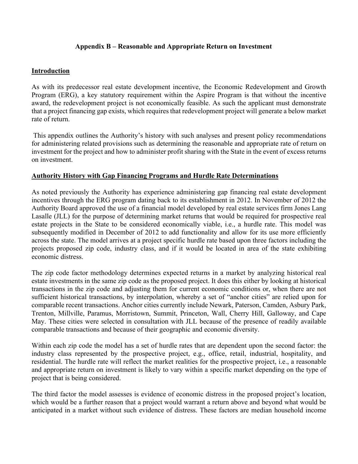# **Appendix B – Reasonable and Appropriate Return on Investment**

## **Introduction**

As with its predecessor real estate development incentive, the Economic Redevelopment and Growth Program (ERG), a key statutory requirement within the Aspire Program is that without the incentive award, the redevelopment project is not economically feasible. As such the applicant must demonstrate that a project financing gap exists, which requires that redevelopment project will generate a below market rate of return.

 This appendix outlines the Authority's history with such analyses and present policy recommendations for administering related provisions such as determining the reasonable and appropriate rate of return on investment for the project and how to administer profit sharing with the State in the event of excess returns on investment.

### **Authority History with Gap Financing Programs and Hurdle Rate Determinations**

As noted previously the Authority has experience administering gap financing real estate development incentives through the ERG program dating back to its establishment in 2012. In November of 2012 the Authority Board approved the use of a financial model developed by real estate services firm Jones Lang Lasalle (JLL) for the purpose of determining market returns that would be required for prospective real estate projects in the State to be considered economically viable, i.e., a hurdle rate. This model was subsequently modified in December of 2012 to add functionality and allow for its use more efficiently across the state. The model arrives at a project specific hurdle rate based upon three factors including the projects proposed zip code, industry class, and if it would be located in area of the state exhibiting economic distress.

The zip code factor methodology determines expected returns in a market by analyzing historical real estate investments in the same zip code as the proposed project. It does this either by looking at historical transactions in the zip code and adjusting them for current economic conditions or, when there are not sufficient historical transactions, by interpolation, whereby a set of "anchor cities" are relied upon for comparable recent transactions. Anchor cities currently include Newark, Paterson, Camden, Asbury Park, Trenton, Millville, Paramus, Morristown, Summit, Princeton, Wall, Cherry Hill, Galloway, and Cape May. These cities were selected in consultation with JLL because of the presence of readily available comparable transactions and because of their geographic and economic diversity.

Within each zip code the model has a set of hurdle rates that are dependent upon the second factor: the industry class represented by the prospective project, e.g., office, retail, industrial, hospitality, and residential. The hurdle rate will reflect the market realities for the prospective project, i.e., a reasonable and appropriate return on investment is likely to vary within a specific market depending on the type of project that is being considered.

The third factor the model assesses is evidence of economic distress in the proposed project's location, which would be a further reason that a project would warrant a return above and beyond what would be anticipated in a market without such evidence of distress. These factors are median household income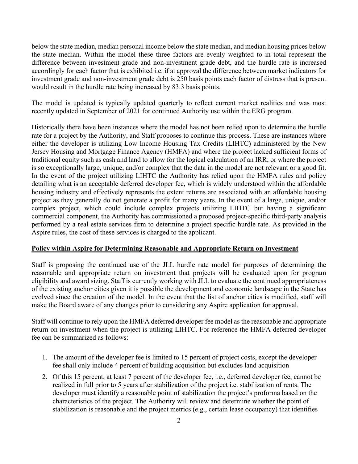below the state median, median personal income below the state median, and median housing prices below the state median. Within the model these three factors are evenly weighted to in total represent the difference between investment grade and non-investment grade debt, and the hurdle rate is increased accordingly for each factor that is exhibited i.e. if at approval the difference between market indicators for investment grade and non-investment grade debt is 250 basis points each factor of distress that is present would result in the hurdle rate being increased by 83.3 basis points.

The model is updated is typically updated quarterly to reflect current market realities and was most recently updated in September of 2021 for continued Authority use within the ERG program.

Historically there have been instances where the model has not been relied upon to determine the hurdle rate for a project by the Authority, and Staff proposes to continue this process. These are instances where either the developer is utilizing Low Income Housing Tax Credits (LIHTC) administered by the New Jersey Housing and Mortgage Finance Agency (HMFA) and where the project lacked sufficient forms of traditional equity such as cash and land to allow for the logical calculation of an IRR; or where the project is so exceptionally large, unique, and/or complex that the data in the model are not relevant or a good fit. In the event of the project utilizing LIHTC the Authority has relied upon the HMFA rules and policy detailing what is an acceptable deferred developer fee, which is widely understood within the affordable housing industry and effectively represents the extent returns are associated with an affordable housing project as they generally do not generate a profit for many years. In the event of a large, unique, and/or complex project, which could include complex projects utilizing LIHTC but having a significant commercial component, the Authority has commissioned a proposed project-specific third-party analysis performed by a real estate services firm to determine a project specific hurdle rate. As provided in the Aspire rules, the cost of these services is charged to the applicant.

#### **Policy within Aspire for Determining Reasonable and Appropriate Return on Investment**

Staff is proposing the continued use of the JLL hurdle rate model for purposes of determining the reasonable and appropriate return on investment that projects will be evaluated upon for program eligibility and award sizing. Staff is currently working with JLL to evaluate the continued appropriateness of the existing anchor cities given it is possible the development and economic landscape in the State has evolved since the creation of the model. In the event that the list of anchor cities is modified, staff will make the Board aware of any changes prior to considering any Aspire application for approval.

Staff will continue to rely upon the HMFA deferred developer fee model as the reasonable and appropriate return on investment when the project is utilizing LIHTC. For reference the HMFA deferred developer fee can be summarized as follows:

- 1. The amount of the developer fee is limited to 15 percent of project costs, except the developer fee shall only include 4 percent of building acquisition but excludes land acquisition
- 2. Of this 15 percent, at least 7 percent of the developer fee, i.e., deferred developer fee, cannot be realized in full prior to 5 years after stabilization of the project i.e. stabilization of rents. The developer must identify a reasonable point of stabilization the project's proforma based on the characteristics of the project. The Authority will review and determine whether the point of stabilization is reasonable and the project metrics (e.g., certain lease occupancy) that identifies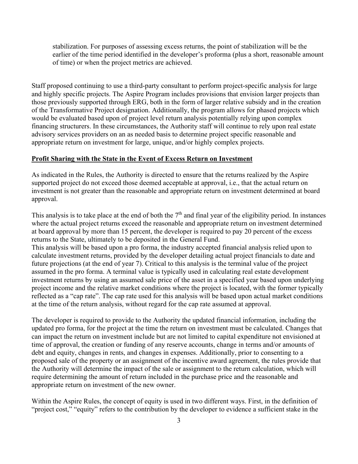stabilization. For purposes of assessing excess returns, the point of stabilization will be the earlier of the time period identified in the developer's proforma (plus a short, reasonable amount of time) or when the project metrics are achieved.

Staff proposed continuing to use a third-party consultant to perform project-specific analysis for large and highly specific projects. The Aspire Program includes provisions that envision larger projects than those previously supported through ERG, both in the form of larger relative subsidy and in the creation of the Transformative Project designation. Additionally, the program allows for phased projects which would be evaluated based upon of project level return analysis potentially relying upon complex financing structurers. In these circumstances, the Authority staff will continue to rely upon real estate advisory services providers on an as needed basis to determine project specific reasonable and appropriate return on investment for large, unique, and/or highly complex projects.

#### **Profit Sharing with the State in the Event of Excess Return on Investment**

As indicated in the Rules, the Authority is directed to ensure that the returns realized by the Aspire supported project do not exceed those deemed acceptable at approval, i.e., that the actual return on investment is not greater than the reasonable and appropriate return on investment determined at board approval.

This analysis is to take place at the end of both the  $7<sup>th</sup>$  and final year of the eligibility period. In instances where the actual project returns exceed the reasonable and appropriate return on investment determined at board approval by more than 15 percent, the developer is required to pay 20 percent of the excess returns to the State, ultimately to be deposited in the General Fund.

This analysis will be based upon a pro forma, the industry accepted financial analysis relied upon to calculate investment returns, provided by the developer detailing actual project financials to date and future projections (at the end of year 7). Critical to this analysis is the terminal value of the project assumed in the pro forma. A terminal value is typically used in calculating real estate development investment returns by using an assumed sale price of the asset in a specified year based upon underlying project income and the relative market conditions where the project is located, with the former typically reflected as a "cap rate". The cap rate used for this analysis will be based upon actual market conditions at the time of the return analysis, without regard for the cap rate assumed at approval.

The developer is required to provide to the Authority the updated financial information, including the updated pro forma, for the project at the time the return on investment must be calculated. Changes that can impact the return on investment include but are not limited to capital expenditure not envisioned at time of approval, the creation or funding of any reserve accounts, change in terms and/or amounts of debt and equity, changes in rents, and changes in expenses. Additionally, prior to consenting to a proposed sale of the property or an assignment of the incentive award agreement, the rules provide that the Authority will determine the impact of the sale or assignment to the return calculation, which will require determining the amount of return included in the purchase price and the reasonable and appropriate return on investment of the new owner.

Within the Aspire Rules, the concept of equity is used in two different ways. First, in the definition of "project cost," "equity" refers to the contribution by the developer to evidence a sufficient stake in the